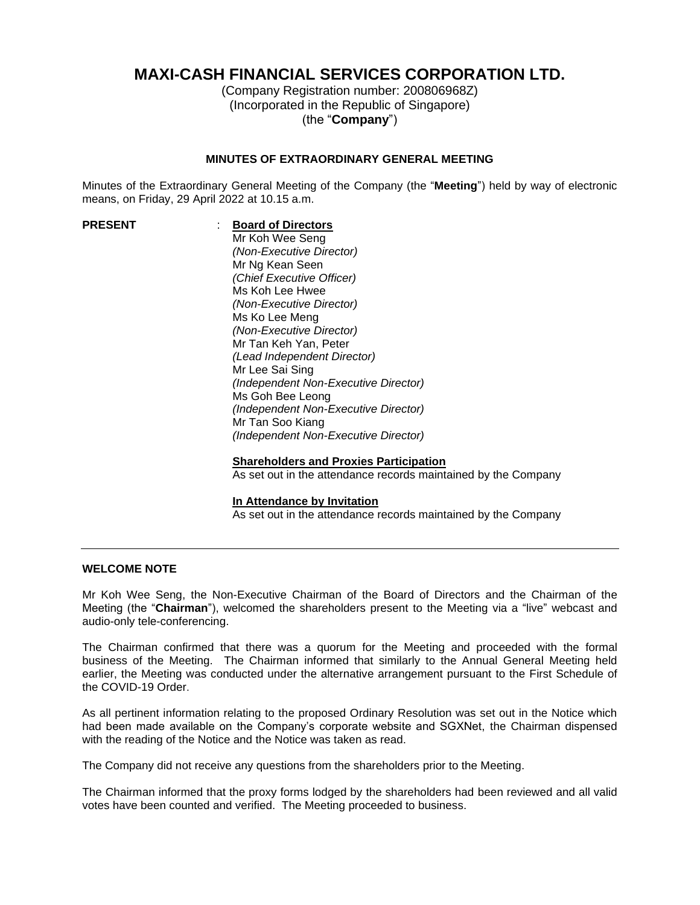# **MAXI-CASH FINANCIAL SERVICES CORPORATION LTD.**

(Company Registration number: 200806968Z) (Incorporated in the Republic of Singapore) (the "**Company**")

## **MINUTES OF EXTRAORDINARY GENERAL MEETING**

Minutes of the Extraordinary General Meeting of the Company (the "**Meeting**") held by way of electronic means, on Friday, 29 April 2022 at 10.15 a.m.

# **PRESENT** : **Board of Directors**

Mr Koh Wee Seng *(Non-Executive Director)* Mr Ng Kean Seen *(Chief Executive Officer)* Ms Koh Lee Hwee *(Non-Executive Director)* Ms Ko Lee Meng *(Non-Executive Director)* Mr Tan Keh Yan, Peter *(Lead Independent Director)* Mr Lee Sai Sing *(Independent Non-Executive Director)* Ms Goh Bee Leong *(Independent Non-Executive Director)* Mr Tan Soo Kiang *(Independent Non-Executive Director)*

# **Shareholders and Proxies Participation**

As set out in the attendance records maintained by the Company

#### **In Attendance by Invitation**

As set out in the attendance records maintained by the Company

#### **WELCOME NOTE**

Mr Koh Wee Seng, the Non-Executive Chairman of the Board of Directors and the Chairman of the Meeting (the "**Chairman**"), welcomed the shareholders present to the Meeting via a "live" webcast and audio-only tele-conferencing.

The Chairman confirmed that there was a quorum for the Meeting and proceeded with the formal business of the Meeting. The Chairman informed that similarly to the Annual General Meeting held earlier, the Meeting was conducted under the alternative arrangement pursuant to the First Schedule of the COVID-19 Order.

As all pertinent information relating to the proposed Ordinary Resolution was set out in the Notice which had been made available on the Company's corporate website and SGXNet, the Chairman dispensed with the reading of the Notice and the Notice was taken as read.

The Company did not receive any questions from the shareholders prior to the Meeting.

The Chairman informed that the proxy forms lodged by the shareholders had been reviewed and all valid votes have been counted and verified. The Meeting proceeded to business.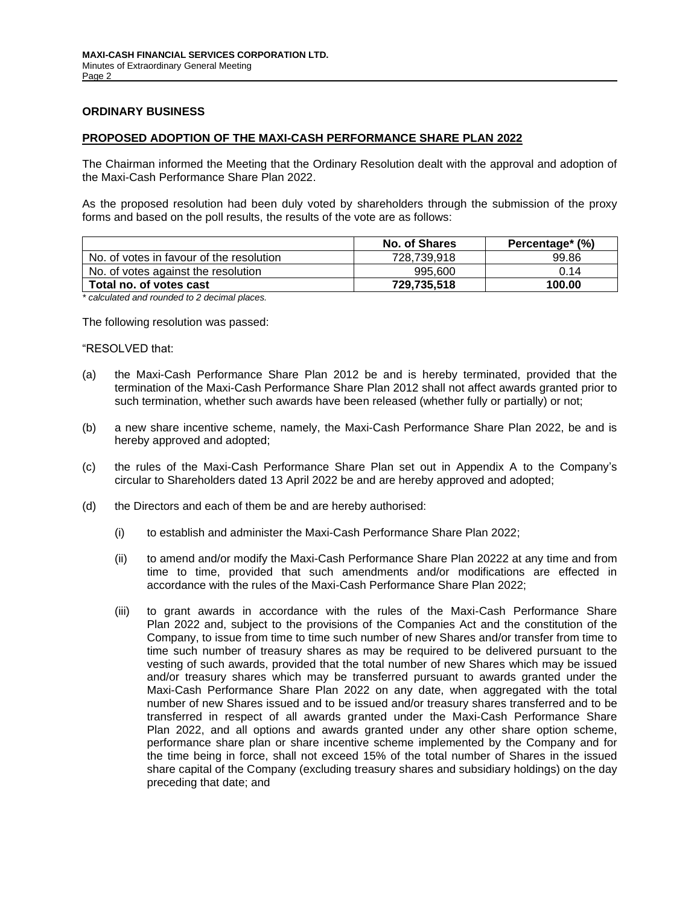#### **ORDINARY BUSINESS**

#### **PROPOSED ADOPTION OF THE MAXI-CASH PERFORMANCE SHARE PLAN 2022**

The Chairman informed the Meeting that the Ordinary Resolution dealt with the approval and adoption of the Maxi-Cash Performance Share Plan 2022.

As the proposed resolution had been duly voted by shareholders through the submission of the proxy forms and based on the poll results, the results of the vote are as follows:

|             | Percentage* (%)      |
|-------------|----------------------|
| 728,739,918 | 99.86                |
| 995,600     | 0.14                 |
| 729.735.518 | 100.00               |
|             | <b>No. of Shares</b> |

*\* calculated and rounded to 2 decimal places.*

The following resolution was passed:

#### "RESOLVED that:

- (a) the Maxi-Cash Performance Share Plan 2012 be and is hereby terminated, provided that the termination of the Maxi-Cash Performance Share Plan 2012 shall not affect awards granted prior to such termination, whether such awards have been released (whether fully or partially) or not;
- (b) a new share incentive scheme, namely, the Maxi-Cash Performance Share Plan 2022, be and is hereby approved and adopted;
- (c) the rules of the Maxi-Cash Performance Share Plan set out in Appendix A to the Company's circular to Shareholders dated 13 April 2022 be and are hereby approved and adopted;
- (d) the Directors and each of them be and are hereby authorised:
	- (i) to establish and administer the Maxi-Cash Performance Share Plan 2022;
	- (ii) to amend and/or modify the Maxi-Cash Performance Share Plan 20222 at any time and from time to time, provided that such amendments and/or modifications are effected in accordance with the rules of the Maxi-Cash Performance Share Plan 2022;
	- (iii) to grant awards in accordance with the rules of the Maxi-Cash Performance Share Plan 2022 and, subject to the provisions of the Companies Act and the constitution of the Company, to issue from time to time such number of new Shares and/or transfer from time to time such number of treasury shares as may be required to be delivered pursuant to the vesting of such awards, provided that the total number of new Shares which may be issued and/or treasury shares which may be transferred pursuant to awards granted under the Maxi-Cash Performance Share Plan 2022 on any date, when aggregated with the total number of new Shares issued and to be issued and/or treasury shares transferred and to be transferred in respect of all awards granted under the Maxi-Cash Performance Share Plan 2022, and all options and awards granted under any other share option scheme, performance share plan or share incentive scheme implemented by the Company and for the time being in force, shall not exceed 15% of the total number of Shares in the issued share capital of the Company (excluding treasury shares and subsidiary holdings) on the day preceding that date; and